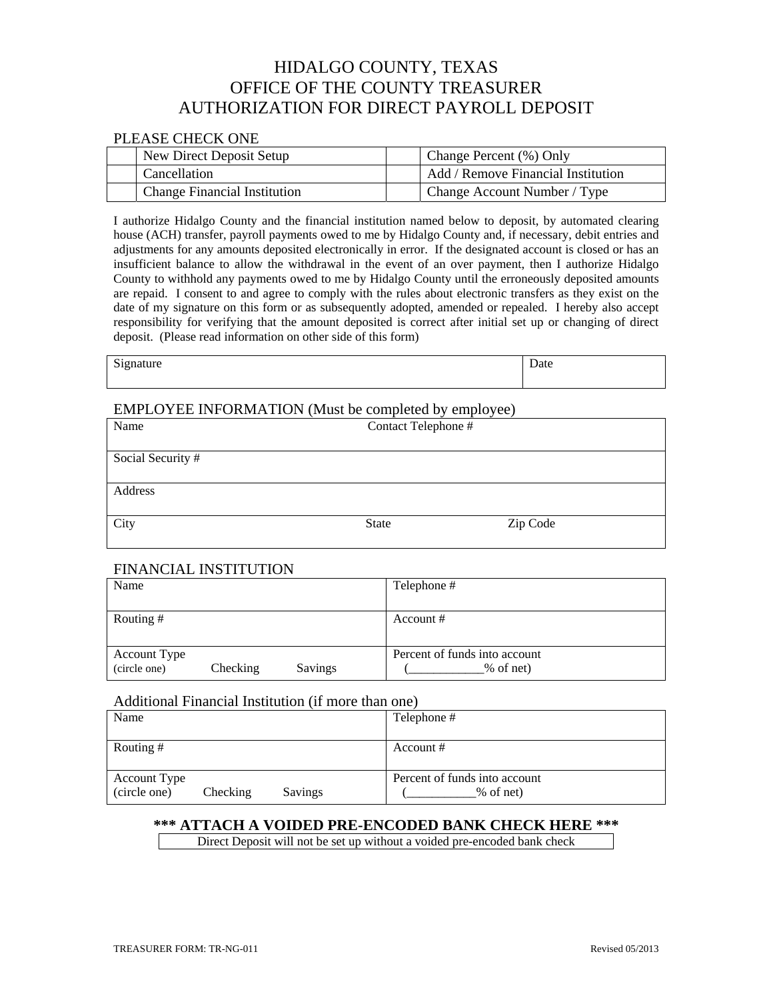# HIDALGO COUNTY, TEXAS OFFICE OF THE COUNTY TREASURER AUTHORIZATION FOR DIRECT PAYROLL DEPOSIT

#### PLEASE CHECK ONE

| New Direct Deposit Setup            | Change Percent (%) Only            |
|-------------------------------------|------------------------------------|
| Cancellation                        | Add / Remove Financial Institution |
| <b>Change Financial Institution</b> | Change Account Number / Type       |

I authorize Hidalgo County and the financial institution named below to deposit, by automated clearing house (ACH) transfer, payroll payments owed to me by Hidalgo County and, if necessary, debit entries and adjustments for any amounts deposited electronically in error. If the designated account is closed or has an insufficient balance to allow the withdrawal in the event of an over payment, then I authorize Hidalgo County to withhold any payments owed to me by Hidalgo County until the erroneously deposited amounts are repaid. I consent to and agree to comply with the rules about electronic transfers as they exist on the date of my signature on this form or as subsequently adopted, amended or repealed. I hereby also accept responsibility for verifying that the amount deposited is correct after initial set up or changing of direct deposit. (Please read information on other side of this form)

| Signature |  | Date |
|-----------|--|------|
|-----------|--|------|

| ate |  |  |  |
|-----|--|--|--|
|     |  |  |  |

### EMPLOYEE INFORMATION (Must be completed by employee)

| Name              | Contact Telephone # |          |  |
|-------------------|---------------------|----------|--|
| Social Security # |                     |          |  |
| Address           |                     |          |  |
| City              | <b>State</b>        | Zip Code |  |

# FINANCIAL INSTITUTION

| Name                |          |         | Telephone #                   |  |
|---------------------|----------|---------|-------------------------------|--|
|                     |          |         |                               |  |
| Routing #           |          |         | Account $#$                   |  |
|                     |          |         |                               |  |
| <b>Account Type</b> |          |         | Percent of funds into account |  |
| (circle one)        | Checking | Savings | % of net)                     |  |

#### Additional Financial Institution (if more than one)

| Name                                                              | Telephone #                                |
|-------------------------------------------------------------------|--------------------------------------------|
| Routing #                                                         | Account #                                  |
| <b>Account Type</b><br>(circle one)<br>Checking<br><b>Savings</b> | Percent of funds into account<br>% of net) |

# **\*\*\* ATTACH A VOIDED PRE-ENCODED BANK CHECK HERE \*\*\***

Direct Deposit will not be set up without a voided pre-encoded bank check